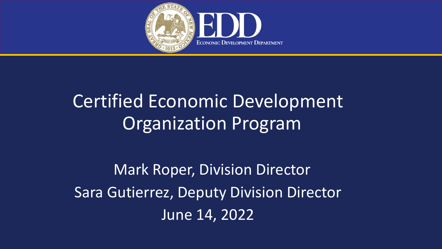

Mark Roper, Division Director Sara Gutierrez, Deputy Division Director June 14, 2022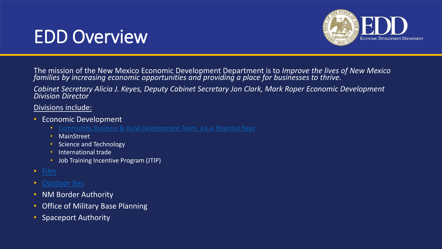# EDD Overview



The mission of the New Mexico Economic Development Department is to *Improve the lives of New Mexico families by increasing economic opportunities and providing a place for businesses to thrive.*

*Cabinet Secretary Alicia J. Keyes, Deputy Cabinet Secretary Jon Clark, Mark Roper Economic Development Division Director*

#### Divisions include:

- Economic Development
	-
	- MainStreet
	- Science and Technology
	- International trade
	- Job Training Incentive Program (JTIP)
- [Film](https://nmfilm.com/)
- [Outdoor Rec](https://www.nmoutside.com/)
- NM Border Authority
- Office of Military Base Planning
- Spaceport Authority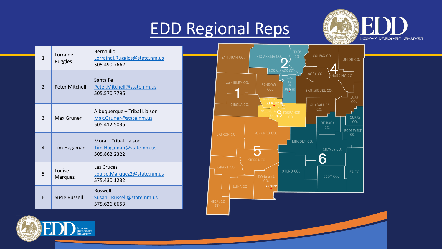# [EDD Regional Reps](https://gonm.biz/community-development/)



UNION CO.

QUAY  $CO<sub>2</sub>$ 

**CURRY** 

**ROOSEVELT**  $CO.$ 

ING CO.

| $\mathbf{1}$   | Lorraine<br>Ruggles                                                                  | Bernalillo<br>Lorrainel.Ruggles@state.nm.us<br>505.490.7662                                   | <b>TAOS</b><br>COLFAX CO.<br>RIO ARRIBA CO.<br>CO <sub>2</sub><br>SAN JUAN CO.                                                  |
|----------------|--------------------------------------------------------------------------------------|-----------------------------------------------------------------------------------------------|---------------------------------------------------------------------------------------------------------------------------------|
| $\overline{2}$ | Peter Mitchell                                                                       | Santa Fe<br>Peter.Mitchell@state.nm.us<br>505.570.7796                                        | LOS ALAMOS CO<br>MORA CO.<br><b>HAR</b><br>SANTA<br>FE.<br>MCKINLEY CO.<br>SANDOVAL<br>CO.<br>CO.<br>SANTA FE<br>SAN MIGUEL CO. |
| 3              | Albuquerque - Tribal Liaison<br>Max.Gruner@state.nm.us<br>Max Gruner<br>505.412.5036 | ALBUQUERQI<br>CIBOLA CO.<br><b>GUADALUPE</b><br>CO.<br>R<br><b>TORRANCE</b><br>DE BACA<br>CO. |                                                                                                                                 |
| $\overline{4}$ | Tim Hagaman                                                                          | Mora - Tribal Liaison<br>Tim.Hagaman@state.nm.us<br>505.862.2322                              | SOCORRO CO.<br><b>CATRON CO.</b><br>LINCOLN CO.<br><b>CHAVES C</b><br>SIERRA CO.                                                |
| 5              | Louise<br>Marquez                                                                    | Las Cruces<br>Louise.Marquez2@state.nm.us<br>575.430.1232                                     | <b>GRANT CO.</b><br>OTERO CO.<br>EDDY CO.<br><b>DONA ANA</b><br>CO.                                                             |
| 6              | <b>Susie Russell</b>                                                                 | Roswell<br>SusanL.Russell@state.nm.us<br>575.626.6653                                         | LUNA CO.<br><b>LAS CRUCES</b><br><b>HIDALGO</b><br>CO.                                                                          |

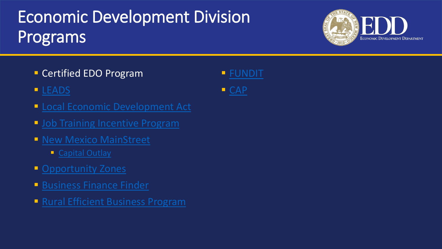# Economic Development Division Programs

- **E** Certified EDO Program
- **<u>■ [LEADS](https://edd.newmexico.gov/community-development/leads/)</u>**
- **Exercise Expression Exercise 2 Figure 2 Focal Economic Development Act**
- **· [Job Training Incentive Program](https://edd.newmexico.gov/business-development/edd-programs-for-business/job-training-incentive-program/)**
- **E** [New Mexico MainStreet](https://www.nmmainstreet.org/)
	- [Capital Outlay](https://www.nmmainstreet.org/nmms/programs/public-infrastructure/)
- **[Opportunity Zones](https://nmfundit.org/opportunity-zones/)**
- **E** [Business Finance Finder](https://www.nmfinancefinder.com/)
- **[Rural Efficient Business Program](https://edd.newmexico.gov/business-development/edd-programs-for-business/finance-development/rural-efficient-business-program/)**

▪ [FUNDIT](https://nmfundit.org/)



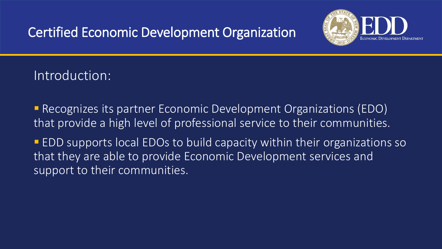

## Introduction:

■ Recognizes its partner Economic Development Organizations (EDO) that provide a high level of professional service to their communities.

■ EDD supports local EDOs to build capacity within their organizations so that they are able to provide Economic Development services and support to their communities.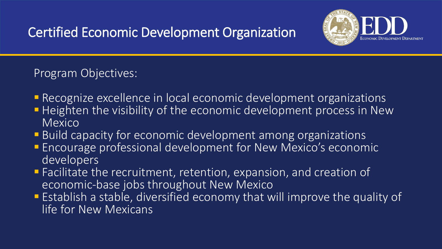

#### Program Objectives:

- **E** Recognize excellence in local economic development organizations
- **Heighten the visibility of the economic development process in New** Mexico
- **Build capacity for economic development among organizations**
- **Encourage professional development for New Mexico's economic** developers
- Facilitate the recruitment, retention, expansion, and creation of economic-base jobs throughout New Mexico
- **Establish a stable, diversified economy that will improve the quality of** life for New Mexicans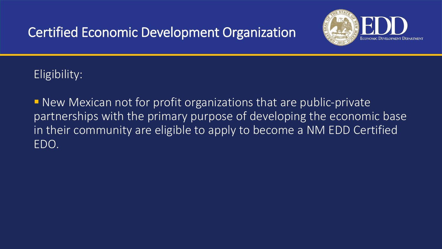

#### Eligibility:

■ New Mexican not for profit organizations that are public-private partnerships with the primary purpose of developing the economic base in their community are eligible to apply to become a NM EDD Certified EDO.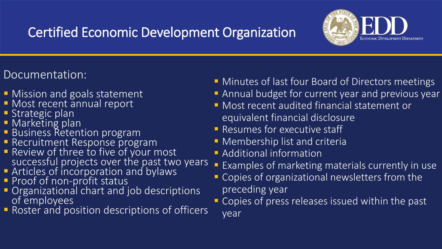

#### Documentation:

- **Mission and goals statement**
- **E** Most recent annual report
- $\blacksquare$  Strategic plan
- **E** Marketing plan
- **E** Business Retention program
- **E** Recruitment Response program
- Review of three to five of your most successful projects over the past two years
- **E** Articles of incorporation and bylaws
- **Proof of non-profit status**
- **Organizational chart and job descriptions** of employees
- **Roster and position descriptions of officers**
- **E** Minutes of last four Board of Directors meetings
- **E** Annual budget for current year and previous year
- **E** Most recent audited financial statement or equivalent financial disclosure
- **E** Resumes for executive staff
- **E** Membership list and criteria
- **E** Additional information
- **Examples of marketing materials currently in use**
- Copies of organizational newsletters from the preceding year
- **EX Copies of press releases issued within the past** year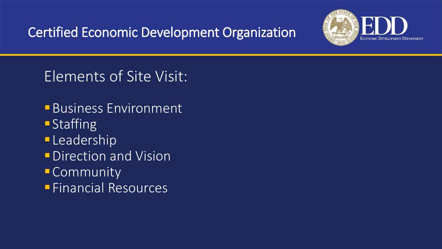

## Elements of Site Visit:

- **Business Environment**
- Staffing
- **Leadership**
- *<u>Direction</u>* and Vision
- **E** Community
- ▪Financial Resources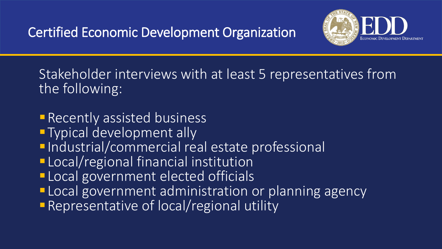

Stakeholder interviews with at least 5 representatives from the following:

- **Recently assisted business**
- **Typical development ally**
- **Industrial/commercial real estate professional**
- **ELocal/regional financial institution**
- **Local government elected officials**
- **ELocal government administration or planning agency**
- **Representative of local/regional utility**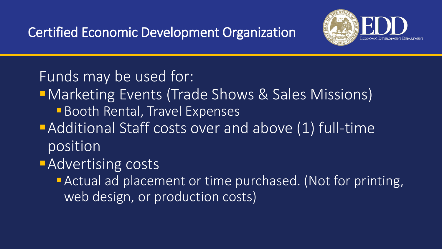

## Funds may be used for:

- **I** Marketing Events (Trade Shows & Sales Missions)
	- **Booth Rental, Travel Expenses**
- **Additional Staff costs over and above (1) full-time** position

# **Advertising costs**

**E** Actual ad placement or time purchased. (Not for printing, web design, or production costs)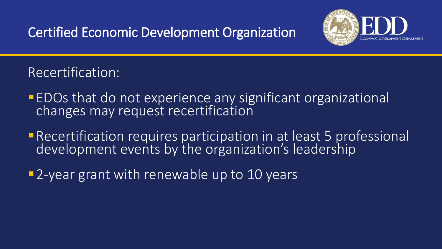

Recertification:

- **EDOs that do not experience any significant organizational** changes may request recertification
- **E** Recertification requires participation in at least 5 professional development events by the organization's leadership
- **-2-year grant with renewable up to 10 years**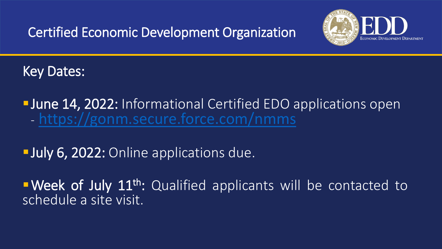

Key Dates:

**I** June 14, 2022: Informational Certified EDO applications open - <https://gonm.secure.force.com/nmms>

**July 6, 2022: Online applications due.** 

**Week of July 11<sup>th</sup>:** Qualified applicants will be contacted to schedule a site visit.